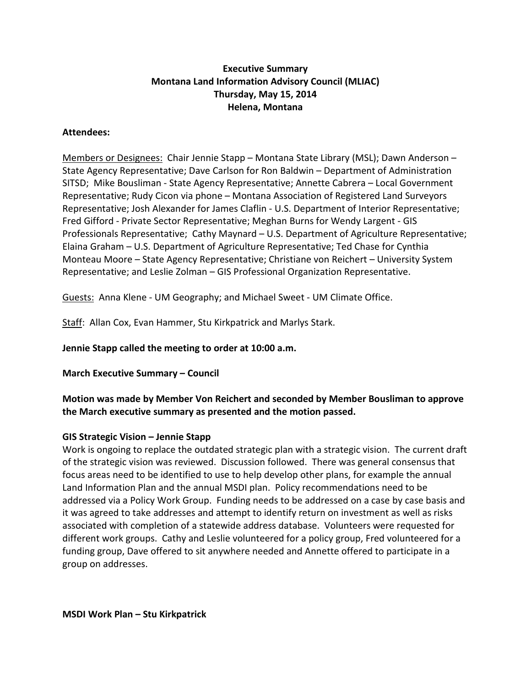# **Executive Summary Montana Land Information Advisory Council (MLIAC) Thursday, May 15, 2014 Helena, Montana**

### **Attendees:**

Members or Designees: Chair Jennie Stapp – Montana State Library (MSL); Dawn Anderson – State Agency Representative; Dave Carlson for Ron Baldwin – Department of Administration SITSD; Mike Bousliman - State Agency Representative; Annette Cabrera – Local Government Representative; Rudy Cicon via phone – Montana Association of Registered Land Surveyors Representative; Josh Alexander for James Claflin - U.S. Department of Interior Representative; Fred Gifford - Private Sector Representative; Meghan Burns for Wendy Largent - GIS Professionals Representative; Cathy Maynard – U.S. Department of Agriculture Representative; Elaina Graham – U.S. Department of Agriculture Representative; Ted Chase for Cynthia Monteau Moore – State Agency Representative; Christiane von Reichert – University System Representative; and Leslie Zolman – GIS Professional Organization Representative.

Guests: Anna Klene - UM Geography; and Michael Sweet - UM Climate Office.

Staff: Allan Cox, Evan Hammer, Stu Kirkpatrick and Marlys Stark.

**Jennie Stapp called the meeting to order at 10:00 a.m.**

**March Executive Summary – Council**

**Motion was made by Member Von Reichert and seconded by Member Bousliman to approve the March executive summary as presented and the motion passed.**

#### **GIS Strategic Vision – Jennie Stapp**

Work is ongoing to replace the outdated strategic plan with a strategic vision. The current draft of the strategic vision was reviewed. Discussion followed. There was general consensus that focus areas need to be identified to use to help develop other plans, for example the annual Land Information Plan and the annual MSDI plan. Policy recommendations need to be addressed via a Policy Work Group. Funding needs to be addressed on a case by case basis and it was agreed to take addresses and attempt to identify return on investment as well as risks associated with completion of a statewide address database. Volunteers were requested for different work groups. Cathy and Leslie volunteered for a policy group, Fred volunteered for a funding group, Dave offered to sit anywhere needed and Annette offered to participate in a group on addresses.

**MSDI Work Plan – Stu Kirkpatrick**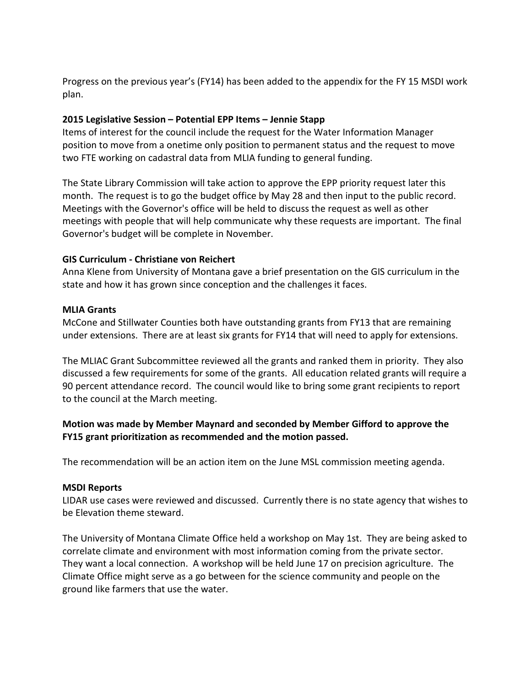Progress on the previous year's (FY14) has been added to the appendix for the FY 15 MSDI work plan.

## **2015 Legislative Session – Potential EPP Items – Jennie Stapp**

Items of interest for the council include the request for the Water Information Manager position to move from a onetime only position to permanent status and the request to move two FTE working on cadastral data from MLIA funding to general funding.

The State Library Commission will take action to approve the EPP priority request later this month. The request is to go the budget office by May 28 and then input to the public record. Meetings with the Governor's office will be held to discuss the request as well as other meetings with people that will help communicate why these requests are important. The final Governor's budget will be complete in November.

# **GIS Curriculum - Christiane von Reichert**

Anna Klene from University of Montana gave a brief presentation on the GIS curriculum in the state and how it has grown since conception and the challenges it faces.

### **MLIA Grants**

McCone and Stillwater Counties both have outstanding grants from FY13 that are remaining under extensions. There are at least six grants for FY14 that will need to apply for extensions.

The MLIAC Grant Subcommittee reviewed all the grants and ranked them in priority. They also discussed a few requirements for some of the grants. All education related grants will require a 90 percent attendance record. The council would like to bring some grant recipients to report to the council at the March meeting.

# **Motion was made by Member Maynard and seconded by Member Gifford to approve the FY15 grant prioritization as recommended and the motion passed.**

The recommendation will be an action item on the June MSL commission meeting agenda.

#### **MSDI Reports**

LIDAR use cases were reviewed and discussed. Currently there is no state agency that wishes to be Elevation theme steward.

The University of Montana Climate Office held a workshop on May 1st. They are being asked to correlate climate and environment with most information coming from the private sector. They want a local connection. A workshop will be held June 17 on precision agriculture. The Climate Office might serve as a go between for the science community and people on the ground like farmers that use the water.